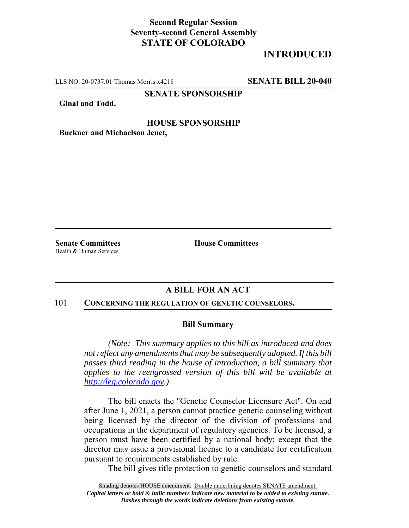# **Second Regular Session Seventy-second General Assembly STATE OF COLORADO**

# **INTRODUCED**

LLS NO. 20-0737.01 Thomas Morris x4218 **SENATE BILL 20-040**

**SENATE SPONSORSHIP**

**Ginal and Todd,**

### **HOUSE SPONSORSHIP**

**Buckner and Michaelson Jenet,**

Health & Human Services

**Senate Committees House Committees** 

## **A BILL FOR AN ACT**

#### 101 **CONCERNING THE REGULATION OF GENETIC COUNSELORS.**

### **Bill Summary**

*(Note: This summary applies to this bill as introduced and does not reflect any amendments that may be subsequently adopted. If this bill passes third reading in the house of introduction, a bill summary that applies to the reengrossed version of this bill will be available at http://leg.colorado.gov.)*

The bill enacts the "Genetic Counselor Licensure Act". On and after June 1, 2021, a person cannot practice genetic counseling without being licensed by the director of the division of professions and occupations in the department of regulatory agencies. To be licensed, a person must have been certified by a national body; except that the director may issue a provisional license to a candidate for certification pursuant to requirements established by rule.

The bill gives title protection to genetic counselors and standard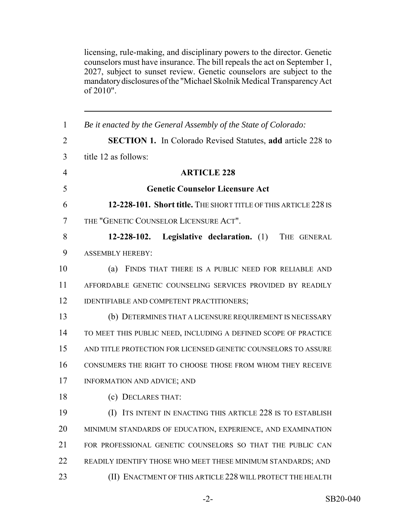licensing, rule-making, and disciplinary powers to the director. Genetic counselors must have insurance. The bill repeals the act on September 1, 2027, subject to sunset review. Genetic counselors are subject to the mandatory disclosures of the "Michael Skolnik Medical Transparency Act of 2010".

| $\mathbf{1}$   | Be it enacted by the General Assembly of the State of Colorado:    |
|----------------|--------------------------------------------------------------------|
| $\overline{2}$ | <b>SECTION 1.</b> In Colorado Revised Statutes, add article 228 to |
| 3              | title 12 as follows:                                               |
| $\overline{4}$ | <b>ARTICLE 228</b>                                                 |
| 5              | <b>Genetic Counselor Licensure Act</b>                             |
| 6              | 12-228-101. Short title. THE SHORT TITLE OF THIS ARTICLE 228 IS    |
| 7              | THE "GENETIC COUNSELOR LICENSURE ACT".                             |
| 8              | 12-228-102. Legislative declaration. (1)<br>THE GENERAL            |
| 9              | <b>ASSEMBLY HEREBY:</b>                                            |
| 10             | (a)<br>FINDS THAT THERE IS A PUBLIC NEED FOR RELIABLE AND          |
| 11             | AFFORDABLE GENETIC COUNSELING SERVICES PROVIDED BY READILY         |
| 12             | IDENTIFIABLE AND COMPETENT PRACTITIONERS;                          |
| 13             | (b) DETERMINES THAT A LICENSURE REQUIREMENT IS NECESSARY           |
| 14             | TO MEET THIS PUBLIC NEED, INCLUDING A DEFINED SCOPE OF PRACTICE    |
| 15             | AND TITLE PROTECTION FOR LICENSED GENETIC COUNSELORS TO ASSURE     |
| 16             | CONSUMERS THE RIGHT TO CHOOSE THOSE FROM WHOM THEY RECEIVE         |
| 17             | INFORMATION AND ADVICE; AND                                        |
| 18             | (c) DECLARES THAT:                                                 |
| 19             | (I) ITS INTENT IN ENACTING THIS ARTICLE 228 IS TO ESTABLISH        |
| 20             | MINIMUM STANDARDS OF EDUCATION, EXPERIENCE, AND EXAMINATION        |
| 21             | FOR PROFESSIONAL GENETIC COUNSELORS SO THAT THE PUBLIC CAN         |
| 22             | READILY IDENTIFY THOSE WHO MEET THESE MINIMUM STANDARDS; AND       |
| 23             | (II) ENACTMENT OF THIS ARTICLE 228 WILL PROTECT THE HEALTH         |
|                |                                                                    |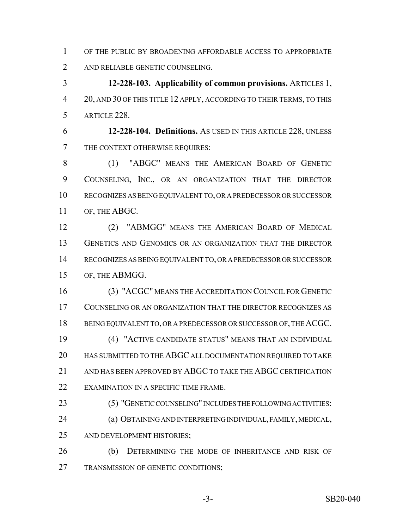OF THE PUBLIC BY BROADENING AFFORDABLE ACCESS TO APPROPRIATE AND RELIABLE GENETIC COUNSELING.

 **12-228-103. Applicability of common provisions.** ARTICLES 1, 20, AND 30 OF THIS TITLE 12 APPLY, ACCORDING TO THEIR TERMS, TO THIS ARTICLE 228.

 **12-228-104. Definitions.** AS USED IN THIS ARTICLE 228, UNLESS THE CONTEXT OTHERWISE REQUIRES:

 (1) "ABGC" MEANS THE AMERICAN BOARD OF GENETIC COUNSELING, INC., OR AN ORGANIZATION THAT THE DIRECTOR RECOGNIZES AS BEING EQUIVALENT TO, OR A PREDECESSOR OR SUCCESSOR OF, THE ABGC.

 (2) "ABMGG" MEANS THE AMERICAN BOARD OF MEDICAL GENETICS AND GENOMICS OR AN ORGANIZATION THAT THE DIRECTOR RECOGNIZES AS BEING EQUIVALENT TO, OR A PREDECESSOR OR SUCCESSOR OF, THE ABMGG.

 (3) "ACGC" MEANS THE ACCREDITATION COUNCIL FOR GENETIC COUNSELING OR AN ORGANIZATION THAT THE DIRECTOR RECOGNIZES AS 18 BEING EQUIVALENT TO, OR A PREDECESSOR OR SUCCESSOR OF, THE ACGC. (4) "ACTIVE CANDIDATE STATUS" MEANS THAT AN INDIVIDUAL HAS SUBMITTED TO THE ABGC ALL DOCUMENTATION REQUIRED TO TAKE 21 AND HAS BEEN APPROVED BY ABGC TO TAKE THE ABGC CERTIFICATION EXAMINATION IN A SPECIFIC TIME FRAME.

 (5) "GENETIC COUNSELING" INCLUDES THE FOLLOWING ACTIVITIES: (a) OBTAINING AND INTERPRETING INDIVIDUAL, FAMILY, MEDICAL, AND DEVELOPMENT HISTORIES;

 (b) DETERMINING THE MODE OF INHERITANCE AND RISK OF TRANSMISSION OF GENETIC CONDITIONS;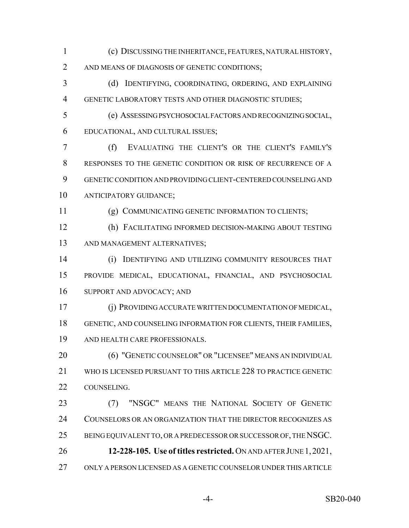- (c) DISCUSSING THE INHERITANCE, FEATURES, NATURAL HISTORY, AND MEANS OF DIAGNOSIS OF GENETIC CONDITIONS;
- (d) IDENTIFYING, COORDINATING, ORDERING, AND EXPLAINING GENETIC LABORATORY TESTS AND OTHER DIAGNOSTIC STUDIES;
- (e) ASSESSING PSYCHOSOCIAL FACTORS AND RECOGNIZING SOCIAL, EDUCATIONAL, AND CULTURAL ISSUES;

 (f) EVALUATING THE CLIENT'S OR THE CLIENT'S FAMILY'S RESPONSES TO THE GENETIC CONDITION OR RISK OF RECURRENCE OF A GENETIC CONDITION AND PROVIDING CLIENT-CENTERED COUNSELING AND ANTICIPATORY GUIDANCE;

- (g) COMMUNICATING GENETIC INFORMATION TO CLIENTS;
- (h) FACILITATING INFORMED DECISION-MAKING ABOUT TESTING AND MANAGEMENT ALTERNATIVES;

 (i) IDENTIFYING AND UTILIZING COMMUNITY RESOURCES THAT PROVIDE MEDICAL, EDUCATIONAL, FINANCIAL, AND PSYCHOSOCIAL SUPPORT AND ADVOCACY; AND

 (j) PROVIDING ACCURATE WRITTEN DOCUMENTATION OF MEDICAL, GENETIC, AND COUNSELING INFORMATION FOR CLIENTS, THEIR FAMILIES, AND HEALTH CARE PROFESSIONALS.

 (6) "GENETIC COUNSELOR" OR "LICENSEE" MEANS AN INDIVIDUAL WHO IS LICENSED PURSUANT TO THIS ARTICLE 228 TO PRACTICE GENETIC COUNSELING.

 (7) "NSGC" MEANS THE NATIONAL SOCIETY OF GENETIC COUNSELORS OR AN ORGANIZATION THAT THE DIRECTOR RECOGNIZES AS BEING EQUIVALENT TO, OR A PREDECESSOR OR SUCCESSOR OF, THE NSGC. **12-228-105. Use of titles restricted.** ON AND AFTER JUNE 1,2021, ONLY A PERSON LICENSED AS A GENETIC COUNSELOR UNDER THIS ARTICLE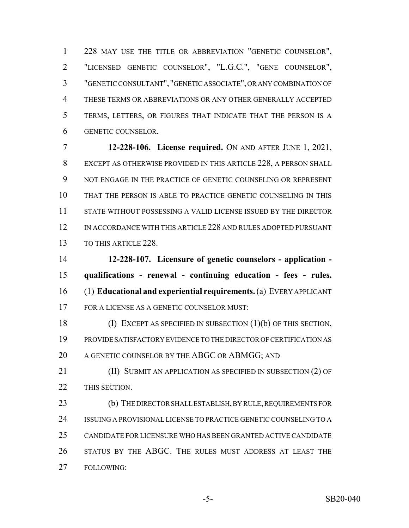228 MAY USE THE TITLE OR ABBREVIATION "GENETIC COUNSELOR", "LICENSED GENETIC COUNSELOR", "L.G.C.", "GENE COUNSELOR", "GENETIC CONSULTANT", "GENETIC ASSOCIATE", OR ANY COMBINATION OF THESE TERMS OR ABBREVIATIONS OR ANY OTHER GENERALLY ACCEPTED TERMS, LETTERS, OR FIGURES THAT INDICATE THAT THE PERSON IS A GENETIC COUNSELOR.

 **12-228-106. License required.** ON AND AFTER JUNE 1, 2021, EXCEPT AS OTHERWISE PROVIDED IN THIS ARTICLE 228, A PERSON SHALL NOT ENGAGE IN THE PRACTICE OF GENETIC COUNSELING OR REPRESENT THAT THE PERSON IS ABLE TO PRACTICE GENETIC COUNSELING IN THIS STATE WITHOUT POSSESSING A VALID LICENSE ISSUED BY THE DIRECTOR IN ACCORDANCE WITH THIS ARTICLE 228 AND RULES ADOPTED PURSUANT 13 TO THIS ARTICLE 228

 **12-228-107. Licensure of genetic counselors - application - qualifications - renewal - continuing education - fees - rules.** (1) **Educational and experiential requirements.** (a) EVERY APPLICANT FOR A LICENSE AS A GENETIC COUNSELOR MUST:

 (I) EXCEPT AS SPECIFIED IN SUBSECTION (1)(b) OF THIS SECTION, PROVIDE SATISFACTORY EVIDENCE TO THE DIRECTOR OF CERTIFICATION AS 20 A GENETIC COUNSELOR BY THE ABGC OR ABMGG; AND

**(II) SUBMIT AN APPLICATION AS SPECIFIED IN SUBSECTION (2) OF** THIS SECTION.

 (b) THE DIRECTOR SHALL ESTABLISH, BY RULE, REQUIREMENTS FOR ISSUING A PROVISIONAL LICENSE TO PRACTICE GENETIC COUNSELING TO A CANDIDATE FOR LICENSURE WHO HAS BEEN GRANTED ACTIVE CANDIDATE STATUS BY THE ABGC. THE RULES MUST ADDRESS AT LEAST THE FOLLOWING: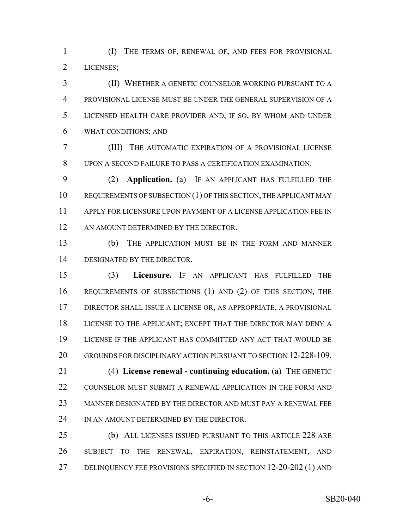(I) THE TERMS OF, RENEWAL OF, AND FEES FOR PROVISIONAL LICENSES;

 (II) WHETHER A GENETIC COUNSELOR WORKING PURSUANT TO A PROVISIONAL LICENSE MUST BE UNDER THE GENERAL SUPERVISION OF A LICENSED HEALTH CARE PROVIDER AND, IF SO, BY WHOM AND UNDER WHAT CONDITIONS; AND

 (III) THE AUTOMATIC EXPIRATION OF A PROVISIONAL LICENSE UPON A SECOND FAILURE TO PASS A CERTIFICATION EXAMINATION.

 (2) **Application.** (a) IF AN APPLICANT HAS FULFILLED THE 10 REQUIREMENTS OF SUBSECTION (1) OF THIS SECTION, THE APPLICANT MAY APPLY FOR LICENSURE UPON PAYMENT OF A LICENSE APPLICATION FEE IN 12 AN AMOUNT DETERMINED BY THE DIRECTOR.

 (b) THE APPLICATION MUST BE IN THE FORM AND MANNER DESIGNATED BY THE DIRECTOR.

 (3) **Licensure.** IF AN APPLICANT HAS FULFILLED THE REQUIREMENTS OF SUBSECTIONS (1) AND (2) OF THIS SECTION, THE DIRECTOR SHALL ISSUE A LICENSE OR, AS APPROPRIATE, A PROVISIONAL LICENSE TO THE APPLICANT; EXCEPT THAT THE DIRECTOR MAY DENY A LICENSE IF THE APPLICANT HAS COMMITTED ANY ACT THAT WOULD BE GROUNDS FOR DISCIPLINARY ACTION PURSUANT TO SECTION 12-228-109. (4) **License renewal - continuing education.** (a) THE GENETIC COUNSELOR MUST SUBMIT A RENEWAL APPLICATION IN THE FORM AND MANNER DESIGNATED BY THE DIRECTOR AND MUST PAY A RENEWAL FEE

24 IN AN AMOUNT DETERMINED BY THE DIRECTOR.

 (b) ALL LICENSES ISSUED PURSUANT TO THIS ARTICLE 228 ARE SUBJECT TO THE RENEWAL, EXPIRATION, REINSTATEMENT, AND DELINQUENCY FEE PROVISIONS SPECIFIED IN SECTION 12-20-202 (1) AND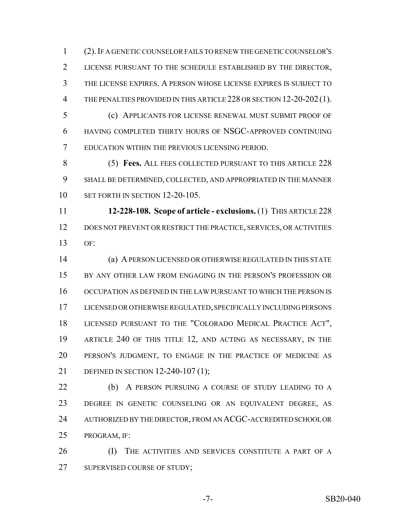(2).IF A GENETIC COUNSELOR FAILS TO RENEW THE GENETIC COUNSELOR'S LICENSE PURSUANT TO THE SCHEDULE ESTABLISHED BY THE DIRECTOR, THE LICENSE EXPIRES. A PERSON WHOSE LICENSE EXPIRES IS SUBJECT TO THE PENALTIES PROVIDED IN THIS ARTICLE 228 OR SECTION 12-20-202 (1).

 (c) APPLICANTS FOR LICENSE RENEWAL MUST SUBMIT PROOF OF HAVING COMPLETED THIRTY HOURS OF NSGC-APPROVED CONTINUING EDUCATION WITHIN THE PREVIOUS LICENSING PERIOD.

 (5) **Fees.** ALL FEES COLLECTED PURSUANT TO THIS ARTICLE 228 SHALL BE DETERMINED, COLLECTED, AND APPROPRIATED IN THE MANNER SET FORTH IN SECTION 12-20-105.

 **12-228-108. Scope of article - exclusions.** (1) THIS ARTICLE 228 12 DOES NOT PREVENT OR RESTRICT THE PRACTICE, SERVICES, OR ACTIVITIES  $13 \qquad \text{OF}$ 

 (a) A PERSON LICENSED OR OTHERWISE REGULATED IN THIS STATE 15 BY ANY OTHER LAW FROM ENGAGING IN THE PERSON'S PROFESSION OR OCCUPATION AS DEFINED IN THE LAW PURSUANT TO WHICH THE PERSON IS LICENSED OR OTHERWISE REGULATED, SPECIFICALLY INCLUDING PERSONS LICENSED PURSUANT TO THE "COLORADO MEDICAL PRACTICE ACT", ARTICLE 240 OF THIS TITLE 12, AND ACTING AS NECESSARY, IN THE PERSON'S JUDGMENT, TO ENGAGE IN THE PRACTICE OF MEDICINE AS DEFINED IN SECTION 12-240-107 (1);

22 (b) A PERSON PURSUING A COURSE OF STUDY LEADING TO A DEGREE IN GENETIC COUNSELING OR AN EQUIVALENT DEGREE, AS 24 AUTHORIZED BY THE DIRECTOR, FROM AN ACGC-ACCREDITED SCHOOL OR PROGRAM, IF:

**(I)** THE ACTIVITIES AND SERVICES CONSTITUTE A PART OF A 27 SUPERVISED COURSE OF STUDY;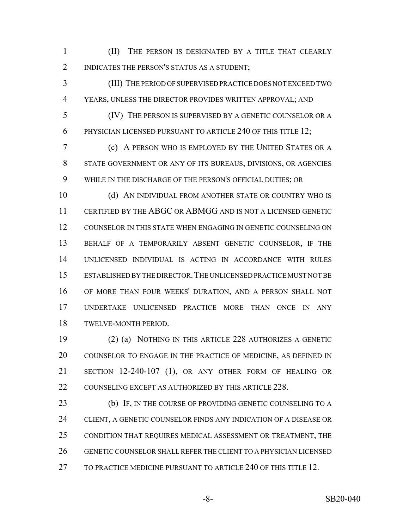(II) THE PERSON IS DESIGNATED BY A TITLE THAT CLEARLY 2 INDICATES THE PERSON'S STATUS AS A STUDENT;

 (III) THE PERIOD OF SUPERVISED PRACTICE DOES NOT EXCEED TWO YEARS, UNLESS THE DIRECTOR PROVIDES WRITTEN APPROVAL; AND

 (IV) THE PERSON IS SUPERVISED BY A GENETIC COUNSELOR OR A 6 PHYSICIAN LICENSED PURSUANT TO ARTICLE 240 OF THIS TITLE 12;

 (c) A PERSON WHO IS EMPLOYED BY THE UNITED STATES OR A STATE GOVERNMENT OR ANY OF ITS BUREAUS, DIVISIONS, OR AGENCIES WHILE IN THE DISCHARGE OF THE PERSON'S OFFICIAL DUTIES; OR

10 (d) AN INDIVIDUAL FROM ANOTHER STATE OR COUNTRY WHO IS CERTIFIED BY THE ABGC OR ABMGG AND IS NOT A LICENSED GENETIC COUNSELOR IN THIS STATE WHEN ENGAGING IN GENETIC COUNSELING ON BEHALF OF A TEMPORARILY ABSENT GENETIC COUNSELOR, IF THE UNLICENSED INDIVIDUAL IS ACTING IN ACCORDANCE WITH RULES ESTABLISHED BY THE DIRECTOR.THE UNLICENSED PRACTICE MUST NOT BE OF MORE THAN FOUR WEEKS' DURATION, AND A PERSON SHALL NOT UNDERTAKE UNLICENSED PRACTICE MORE THAN ONCE IN ANY TWELVE-MONTH PERIOD.

 (2) (a) NOTHING IN THIS ARTICLE 228 AUTHORIZES A GENETIC COUNSELOR TO ENGAGE IN THE PRACTICE OF MEDICINE, AS DEFINED IN SECTION 12-240-107 (1), OR ANY OTHER FORM OF HEALING OR 22 COUNSELING EXCEPT AS AUTHORIZED BY THIS ARTICLE 228.

23 (b) IF, IN THE COURSE OF PROVIDING GENETIC COUNSELING TO A CLIENT, A GENETIC COUNSELOR FINDS ANY INDICATION OF A DISEASE OR CONDITION THAT REQUIRES MEDICAL ASSESSMENT OR TREATMENT, THE GENETIC COUNSELOR SHALL REFER THE CLIENT TO A PHYSICIAN LICENSED TO PRACTICE MEDICINE PURSUANT TO ARTICLE 240 OF THIS TITLE 12.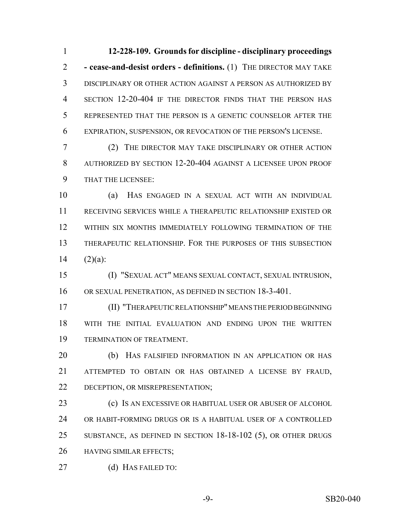**12-228-109. Grounds for discipline - disciplinary proceedings - cease-and-desist orders - definitions.** (1) THE DIRECTOR MAY TAKE DISCIPLINARY OR OTHER ACTION AGAINST A PERSON AS AUTHORIZED BY SECTION 12-20-404 IF THE DIRECTOR FINDS THAT THE PERSON HAS REPRESENTED THAT THE PERSON IS A GENETIC COUNSELOR AFTER THE EXPIRATION, SUSPENSION, OR REVOCATION OF THE PERSON'S LICENSE.

 (2) THE DIRECTOR MAY TAKE DISCIPLINARY OR OTHER ACTION AUTHORIZED BY SECTION 12-20-404 AGAINST A LICENSEE UPON PROOF THAT THE LICENSEE:

 (a) HAS ENGAGED IN A SEXUAL ACT WITH AN INDIVIDUAL RECEIVING SERVICES WHILE A THERAPEUTIC RELATIONSHIP EXISTED OR WITHIN SIX MONTHS IMMEDIATELY FOLLOWING TERMINATION OF THE THERAPEUTIC RELATIONSHIP. FOR THE PURPOSES OF THIS SUBSECTION 14  $(2)(a)$ :

 (I) "SEXUAL ACT" MEANS SEXUAL CONTACT, SEXUAL INTRUSION, OR SEXUAL PENETRATION, AS DEFINED IN SECTION 18-3-401.

 (II) "THERAPEUTIC RELATIONSHIP" MEANS THE PERIOD BEGINNING WITH THE INITIAL EVALUATION AND ENDING UPON THE WRITTEN TERMINATION OF TREATMENT.

 (b) HAS FALSIFIED INFORMATION IN AN APPLICATION OR HAS ATTEMPTED TO OBTAIN OR HAS OBTAINED A LICENSE BY FRAUD, DECEPTION, OR MISREPRESENTATION;

 (c) IS AN EXCESSIVE OR HABITUAL USER OR ABUSER OF ALCOHOL OR HABIT-FORMING DRUGS OR IS A HABITUAL USER OF A CONTROLLED SUBSTANCE, AS DEFINED IN SECTION 18-18-102 (5), OR OTHER DRUGS HAVING SIMILAR EFFECTS;

(d) HAS FAILED TO:

-9- SB20-040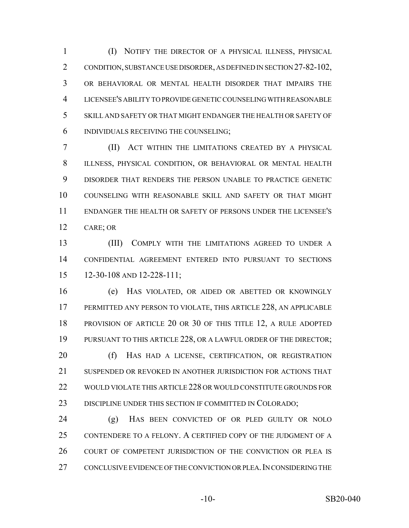(I) NOTIFY THE DIRECTOR OF A PHYSICAL ILLNESS, PHYSICAL CONDITION, SUBSTANCE USE DISORDER, AS DEFINED IN SECTION 27-82-102, OR BEHAVIORAL OR MENTAL HEALTH DISORDER THAT IMPAIRS THE LICENSEE'S ABILITY TO PROVIDE GENETIC COUNSELING WITH REASONABLE SKILL AND SAFETY OR THAT MIGHT ENDANGER THE HEALTH OR SAFETY OF INDIVIDUALS RECEIVING THE COUNSELING;

 (II) ACT WITHIN THE LIMITATIONS CREATED BY A PHYSICAL ILLNESS, PHYSICAL CONDITION, OR BEHAVIORAL OR MENTAL HEALTH DISORDER THAT RENDERS THE PERSON UNABLE TO PRACTICE GENETIC COUNSELING WITH REASONABLE SKILL AND SAFETY OR THAT MIGHT ENDANGER THE HEALTH OR SAFETY OF PERSONS UNDER THE LICENSEE'S CARE; OR

 (III) COMPLY WITH THE LIMITATIONS AGREED TO UNDER A CONFIDENTIAL AGREEMENT ENTERED INTO PURSUANT TO SECTIONS 12-30-108 AND 12-228-111;

 (e) HAS VIOLATED, OR AIDED OR ABETTED OR KNOWINGLY PERMITTED ANY PERSON TO VIOLATE, THIS ARTICLE 228, AN APPLICABLE PROVISION OF ARTICLE 20 OR 30 OF THIS TITLE 12, A RULE ADOPTED 19 PURSUANT TO THIS ARTICLE 228, OR A LAWFUL ORDER OF THE DIRECTOR; 20 (f) HAS HAD A LICENSE, CERTIFICATION, OR REGISTRATION SUSPENDED OR REVOKED IN ANOTHER JURISDICTION FOR ACTIONS THAT WOULD VIOLATE THIS ARTICLE 228 OR WOULD CONSTITUTE GROUNDS FOR DISCIPLINE UNDER THIS SECTION IF COMMITTED IN COLORADO;

 (g) HAS BEEN CONVICTED OF OR PLED GUILTY OR NOLO CONTENDERE TO A FELONY. A CERTIFIED COPY OF THE JUDGMENT OF A COURT OF COMPETENT JURISDICTION OF THE CONVICTION OR PLEA IS CONCLUSIVE EVIDENCE OF THE CONVICTION OR PLEA.IN CONSIDERING THE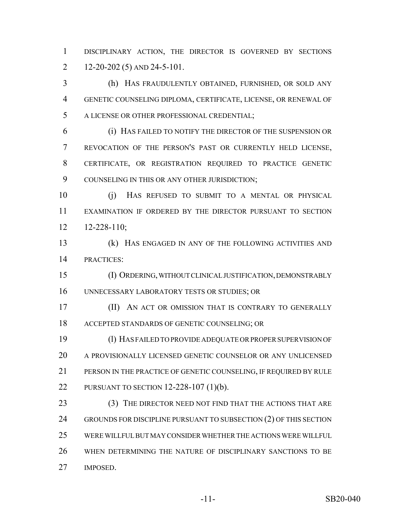DISCIPLINARY ACTION, THE DIRECTOR IS GOVERNED BY SECTIONS 2 12-20-202 (5) AND 24-5-101.

 (h) HAS FRAUDULENTLY OBTAINED, FURNISHED, OR SOLD ANY GENETIC COUNSELING DIPLOMA, CERTIFICATE, LICENSE, OR RENEWAL OF A LICENSE OR OTHER PROFESSIONAL CREDENTIAL;

 (i) HAS FAILED TO NOTIFY THE DIRECTOR OF THE SUSPENSION OR REVOCATION OF THE PERSON'S PAST OR CURRENTLY HELD LICENSE, CERTIFICATE, OR REGISTRATION REQUIRED TO PRACTICE GENETIC COUNSELING IN THIS OR ANY OTHER JURISDICTION;

 (j) HAS REFUSED TO SUBMIT TO A MENTAL OR PHYSICAL EXAMINATION IF ORDERED BY THE DIRECTOR PURSUANT TO SECTION 12-228-110;

 (k) HAS ENGAGED IN ANY OF THE FOLLOWING ACTIVITIES AND PRACTICES:

 (I) ORDERING, WITHOUT CLINICAL JUSTIFICATION, DEMONSTRABLY UNNECESSARY LABORATORY TESTS OR STUDIES; OR

**(II)** AN ACT OR OMISSION THAT IS CONTRARY TO GENERALLY ACCEPTED STANDARDS OF GENETIC COUNSELING; OR

 (l) HAS FAILED TO PROVIDE ADEQUATE OR PROPER SUPERVISION OF A PROVISIONALLY LICENSED GENETIC COUNSELOR OR ANY UNLICENSED PERSON IN THE PRACTICE OF GENETIC COUNSELING, IF REQUIRED BY RULE PURSUANT TO SECTION 12-228-107 (1)(b).

23 (3) THE DIRECTOR NEED NOT FIND THAT THE ACTIONS THAT ARE 24 GROUNDS FOR DISCIPLINE PURSUANT TO SUBSECTION (2) OF THIS SECTION WERE WILLFUL BUT MAY CONSIDER WHETHER THE ACTIONS WERE WILLFUL WHEN DETERMINING THE NATURE OF DISCIPLINARY SANCTIONS TO BE IMPOSED.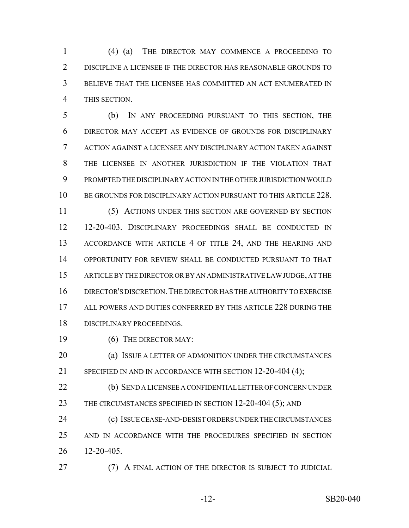(4) (a) THE DIRECTOR MAY COMMENCE A PROCEEDING TO DISCIPLINE A LICENSEE IF THE DIRECTOR HAS REASONABLE GROUNDS TO BELIEVE THAT THE LICENSEE HAS COMMITTED AN ACT ENUMERATED IN THIS SECTION.

 (b) IN ANY PROCEEDING PURSUANT TO THIS SECTION, THE DIRECTOR MAY ACCEPT AS EVIDENCE OF GROUNDS FOR DISCIPLINARY ACTION AGAINST A LICENSEE ANY DISCIPLINARY ACTION TAKEN AGAINST THE LICENSEE IN ANOTHER JURISDICTION IF THE VIOLATION THAT PROMPTED THE DISCIPLINARY ACTION IN THE OTHER JURISDICTION WOULD BE GROUNDS FOR DISCIPLINARY ACTION PURSUANT TO THIS ARTICLE 228.

 (5) ACTIONS UNDER THIS SECTION ARE GOVERNED BY SECTION 12-20-403. DISCIPLINARY PROCEEDINGS SHALL BE CONDUCTED IN ACCORDANCE WITH ARTICLE 4 OF TITLE 24, AND THE HEARING AND OPPORTUNITY FOR REVIEW SHALL BE CONDUCTED PURSUANT TO THAT ARTICLE BY THE DIRECTOR OR BY AN ADMINISTRATIVE LAW JUDGE, AT THE DIRECTOR'S DISCRETION.THE DIRECTOR HAS THE AUTHORITY TO EXERCISE ALL POWERS AND DUTIES CONFERRED BY THIS ARTICLE 228 DURING THE DISCIPLINARY PROCEEDINGS.

19 (6) THE DIRECTOR MAY:

 (a) ISSUE A LETTER OF ADMONITION UNDER THE CIRCUMSTANCES 21 SPECIFIED IN AND IN ACCORDANCE WITH SECTION 12-20-404 (4);

 (b) SEND A LICENSEE A CONFIDENTIAL LETTER OF CONCERN UNDER 23 THE CIRCUMSTANCES SPECIFIED IN SECTION 12-20-404 (5); AND

 (c) ISSUE CEASE-AND-DESIST ORDERS UNDER THE CIRCUMSTANCES AND IN ACCORDANCE WITH THE PROCEDURES SPECIFIED IN SECTION 12-20-405.

**(7) A FINAL ACTION OF THE DIRECTOR IS SUBJECT TO JUDICIAL**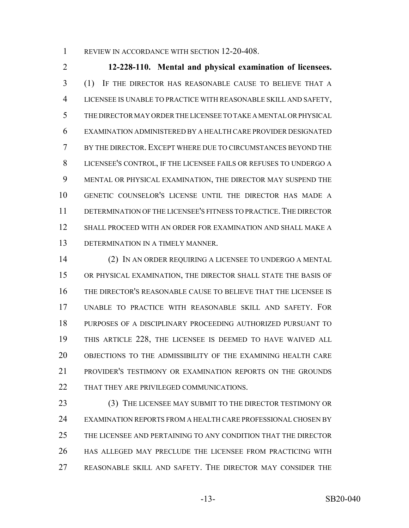1 REVIEW IN ACCORDANCE WITH SECTION 12-20-408.

 **12-228-110. Mental and physical examination of licensees.** (1) IF THE DIRECTOR HAS REASONABLE CAUSE TO BELIEVE THAT A LICENSEE IS UNABLE TO PRACTICE WITH REASONABLE SKILL AND SAFETY, THE DIRECTOR MAY ORDER THE LICENSEE TO TAKE A MENTAL OR PHYSICAL EXAMINATION ADMINISTERED BY A HEALTH CARE PROVIDER DESIGNATED BY THE DIRECTOR. EXCEPT WHERE DUE TO CIRCUMSTANCES BEYOND THE LICENSEE'S CONTROL, IF THE LICENSEE FAILS OR REFUSES TO UNDERGO A MENTAL OR PHYSICAL EXAMINATION, THE DIRECTOR MAY SUSPEND THE GENETIC COUNSELOR'S LICENSE UNTIL THE DIRECTOR HAS MADE A DETERMINATION OF THE LICENSEE'S FITNESS TO PRACTICE.THE DIRECTOR SHALL PROCEED WITH AN ORDER FOR EXAMINATION AND SHALL MAKE A DETERMINATION IN A TIMELY MANNER.

 (2) IN AN ORDER REQUIRING A LICENSEE TO UNDERGO A MENTAL OR PHYSICAL EXAMINATION, THE DIRECTOR SHALL STATE THE BASIS OF THE DIRECTOR'S REASONABLE CAUSE TO BELIEVE THAT THE LICENSEE IS UNABLE TO PRACTICE WITH REASONABLE SKILL AND SAFETY. FOR PURPOSES OF A DISCIPLINARY PROCEEDING AUTHORIZED PURSUANT TO THIS ARTICLE 228, THE LICENSEE IS DEEMED TO HAVE WAIVED ALL OBJECTIONS TO THE ADMISSIBILITY OF THE EXAMINING HEALTH CARE PROVIDER'S TESTIMONY OR EXAMINATION REPORTS ON THE GROUNDS 22 THAT THEY ARE PRIVILEGED COMMUNICATIONS.

 (3) THE LICENSEE MAY SUBMIT TO THE DIRECTOR TESTIMONY OR EXAMINATION REPORTS FROM A HEALTH CARE PROFESSIONAL CHOSEN BY THE LICENSEE AND PERTAINING TO ANY CONDITION THAT THE DIRECTOR HAS ALLEGED MAY PRECLUDE THE LICENSEE FROM PRACTICING WITH REASONABLE SKILL AND SAFETY. THE DIRECTOR MAY CONSIDER THE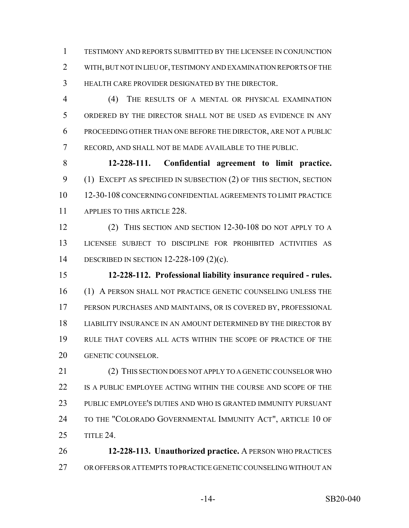TESTIMONY AND REPORTS SUBMITTED BY THE LICENSEE IN CONJUNCTION WITH, BUT NOT IN LIEU OF, TESTIMONY AND EXAMINATION REPORTS OF THE HEALTH CARE PROVIDER DESIGNATED BY THE DIRECTOR.

 (4) THE RESULTS OF A MENTAL OR PHYSICAL EXAMINATION ORDERED BY THE DIRECTOR SHALL NOT BE USED AS EVIDENCE IN ANY PROCEEDING OTHER THAN ONE BEFORE THE DIRECTOR, ARE NOT A PUBLIC RECORD, AND SHALL NOT BE MADE AVAILABLE TO THE PUBLIC.

 **12-228-111. Confidential agreement to limit practice.** (1) EXCEPT AS SPECIFIED IN SUBSECTION (2) OF THIS SECTION, SECTION 12-30-108 CONCERNING CONFIDENTIAL AGREEMENTS TO LIMIT PRACTICE 11 APPLIES TO THIS ARTICLE 228.

 (2) THIS SECTION AND SECTION 12-30-108 DO NOT APPLY TO A LICENSEE SUBJECT TO DISCIPLINE FOR PROHIBITED ACTIVITIES AS DESCRIBED IN SECTION 12-228-109 (2)(c).

 **12-228-112. Professional liability insurance required - rules.** (1) A PERSON SHALL NOT PRACTICE GENETIC COUNSELING UNLESS THE PERSON PURCHASES AND MAINTAINS, OR IS COVERED BY, PROFESSIONAL LIABILITY INSURANCE IN AN AMOUNT DETERMINED BY THE DIRECTOR BY RULE THAT COVERS ALL ACTS WITHIN THE SCOPE OF PRACTICE OF THE GENETIC COUNSELOR.

21 (2) THIS SECTION DOES NOT APPLY TO A GENETIC COUNSELOR WHO IS A PUBLIC EMPLOYEE ACTING WITHIN THE COURSE AND SCOPE OF THE PUBLIC EMPLOYEE'S DUTIES AND WHO IS GRANTED IMMUNITY PURSUANT 24 TO THE "COLORADO GOVERNMENTAL IMMUNITY ACT", ARTICLE 10 OF TITLE 24.

 **12-228-113. Unauthorized practice.** A PERSON WHO PRACTICES OR OFFERS OR ATTEMPTS TO PRACTICE GENETIC COUNSELING WITHOUT AN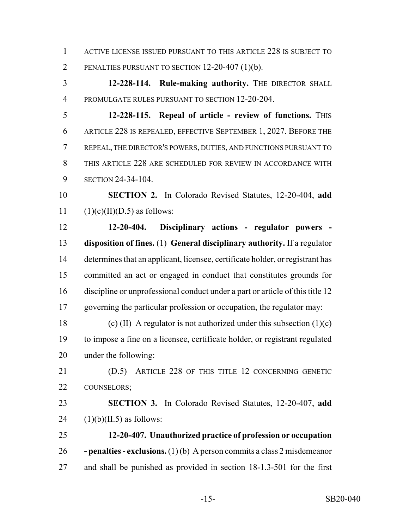ACTIVE LICENSE ISSUED PURSUANT TO THIS ARTICLE 228 IS SUBJECT TO PENALTIES PURSUANT TO SECTION 12-20-407 (1)(b).

 **12-228-114. Rule-making authority.** THE DIRECTOR SHALL PROMULGATE RULES PURSUANT TO SECTION 12-20-204.

 **12-228-115. Repeal of article - review of functions.** THIS ARTICLE 228 IS REPEALED, EFFECTIVE SEPTEMBER 1, 2027. BEFORE THE REPEAL, THE DIRECTOR'S POWERS, DUTIES, AND FUNCTIONS PURSUANT TO THIS ARTICLE 228 ARE SCHEDULED FOR REVIEW IN ACCORDANCE WITH SECTION 24-34-104.

 **SECTION 2.** In Colorado Revised Statutes, 12-20-404, **add** 11  $(1)(c)(II)(D.5)$  as follows:

 **12-20-404. Disciplinary actions - regulator powers - disposition of fines.** (1) **General disciplinary authority.** If a regulator determines that an applicant, licensee, certificate holder, or registrant has committed an act or engaged in conduct that constitutes grounds for discipline or unprofessional conduct under a part or article of this title 12 governing the particular profession or occupation, the regulator may:

18 (c) (II) A regulator is not authorized under this subsection  $(1)(c)$  to impose a fine on a licensee, certificate holder, or registrant regulated under the following:

 (D.5) ARTICLE 228 OF THIS TITLE 12 CONCERNING GENETIC COUNSELORS;

 **SECTION 3.** In Colorado Revised Statutes, 12-20-407, **add** 24  $(1)(b)(II.5)$  as follows:

 **12-20-407. Unauthorized practice of profession or occupation - penalties - exclusions.** (1) (b) A person commits a class 2 misdemeanor and shall be punished as provided in section 18-1.3-501 for the first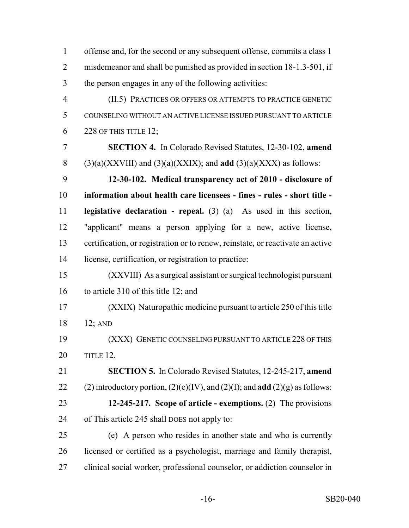offense and, for the second or any subsequent offense, commits a class 1 misdemeanor and shall be punished as provided in section 18-1.3-501, if the person engages in any of the following activities: (II.5) PRACTICES OR OFFERS OR ATTEMPTS TO PRACTICE GENETIC COUNSELING WITHOUT AN ACTIVE LICENSE ISSUED PURSUANT TO ARTICLE 228 OF THIS TITLE 12; **SECTION 4.** In Colorado Revised Statutes, 12-30-102, **amend** 8 (3)(a)(XXVIII) and (3)(a)(XXIX); and **add** (3)(a)(XXX) as follows: **12-30-102. Medical transparency act of 2010 - disclosure of information about health care licensees - fines - rules - short title - legislative declaration - repeal.** (3) (a) As used in this section, "applicant" means a person applying for a new, active license, certification, or registration or to renew, reinstate, or reactivate an active license, certification, or registration to practice: (XXVIII) As a surgical assistant or surgical technologist pursuant 16 to article 310 of this title 12; and (XXIX) Naturopathic medicine pursuant to article 250 of this title 12; AND (XXX) GENETIC COUNSELING PURSUANT TO ARTICLE 228 OF THIS TITLE 12. **SECTION 5.** In Colorado Revised Statutes, 12-245-217, **amend** 22 (2) introductory portion,  $(2)(e)(IV)$ , and  $(2)(f)$ ; and **add**  $(2)(g)$  as follows: **12-245-217. Scope of article - exemptions.** (2) The provisions 24 of This article 245 shall DOES not apply to: (e) A person who resides in another state and who is currently licensed or certified as a psychologist, marriage and family therapist, clinical social worker, professional counselor, or addiction counselor in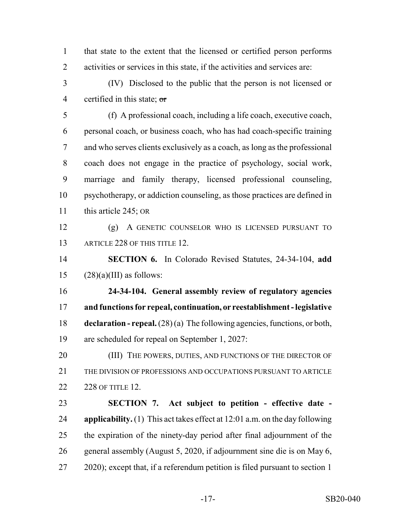that state to the extent that the licensed or certified person performs activities or services in this state, if the activities and services are:

 (IV) Disclosed to the public that the person is not licensed or 4 certified in this state;  $\sigma$ 

 (f) A professional coach, including a life coach, executive coach, personal coach, or business coach, who has had coach-specific training and who serves clients exclusively as a coach, as long as the professional coach does not engage in the practice of psychology, social work, marriage and family therapy, licensed professional counseling, psychotherapy, or addiction counseling, as those practices are defined in 11 this article 245; OR

 (g) A GENETIC COUNSELOR WHO IS LICENSED PURSUANT TO 13 ARTICLE 228 OF THIS TITLE 12

 **SECTION 6.** In Colorado Revised Statutes, 24-34-104, **add** 15  $(28)(a)(III)$  as follows:

 **24-34-104. General assembly review of regulatory agencies and functions for repeal, continuation, or reestablishment - legislative declaration - repeal.** (28) (a) The following agencies, functions, or both, are scheduled for repeal on September 1, 2027:

20 (III) THE POWERS, DUTIES, AND FUNCTIONS OF THE DIRECTOR OF THE DIVISION OF PROFESSIONS AND OCCUPATIONS PURSUANT TO ARTICLE 228 OF TITLE 12.

 **SECTION 7. Act subject to petition - effective date - applicability.** (1) This act takes effect at 12:01 a.m. on the day following the expiration of the ninety-day period after final adjournment of the general assembly (August 5, 2020, if adjournment sine die is on May 6, 2020); except that, if a referendum petition is filed pursuant to section 1